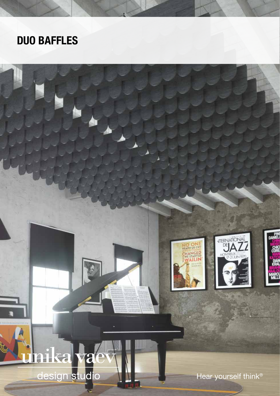## DUO BAFFLES

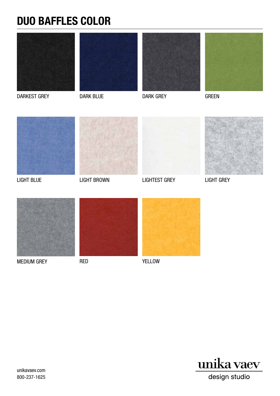## DUO BAFFLES COLOR









DARKEST GREY DARK BLUE

DARK GREY

GREEN





LIGHT BROWN



LIGHTEST GREY LIGHT BLUE LIGHT GREY





MEDIUM GREY

RED





YELLOW



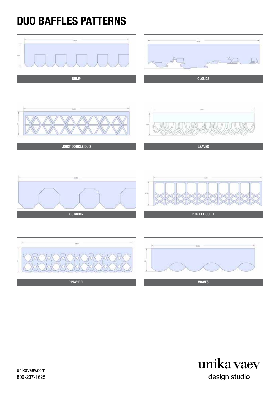# DUO BAFFLES PATTERNS





unikavaev.com 800-237-1625

design studio